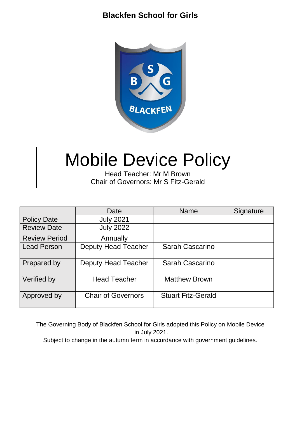## **Blackfen School for Girls**



# Mobile Device Policy

Head Teacher: Mr M Brown Chair of Governors: Mr S Fitz-Gerald

|                      | Date                       | <b>Name</b>               | Signature |
|----------------------|----------------------------|---------------------------|-----------|
| <b>Policy Date</b>   | <b>July 2021</b>           |                           |           |
| <b>Review Date</b>   | <b>July 2022</b>           |                           |           |
| <b>Review Period</b> | Annually                   |                           |           |
| <b>Lead Person</b>   | <b>Deputy Head Teacher</b> | Sarah Cascarino           |           |
| Prepared by          | <b>Deputy Head Teacher</b> | Sarah Cascarino           |           |
| Verified by          | <b>Head Teacher</b>        | <b>Matthew Brown</b>      |           |
| Approved by          | <b>Chair of Governors</b>  | <b>Stuart Fitz-Gerald</b> |           |

The Governing Body of Blackfen School for Girls adopted this Policy on Mobile Device in July 2021.

Subject to change in the autumn term in accordance with government guidelines.